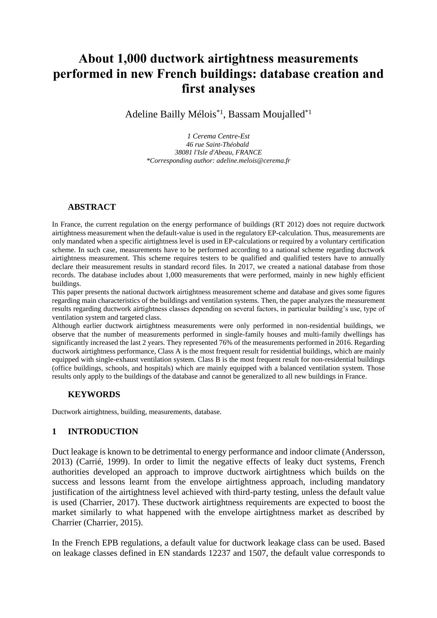# **About 1,000 ductwork airtightness measurements performed in new French buildings: database creation and first analyses**

Adeline Bailly Mélois<sup>\*1</sup>, Bassam Moujalled<sup>\*1</sup>

*1 Cerema Centre-Est 46 rue Saint-Théobald 38081 l'Isle d'Abeau, FRANCE \*Corresponding author: adeline.melois@cerema.fr*

#### **ABSTRACT**

In France, the current regulation on the energy performance of buildings (RT 2012) does not require ductwork airtightness measurement when the default-value is used in the regulatory EP-calculation. Thus, measurements are only mandated when a specific airtightness level is used in EP-calculations or required by a voluntary certification scheme. In such case, measurements have to be performed according to a national scheme regarding ductwork airtightness measurement. This scheme requires testers to be qualified and qualified testers have to annually declare their measurement results in standard record files. In 2017, we created a national database from those records. The database includes about 1,000 measurements that were performed, mainly in new highly efficient buildings.

This paper presents the national ductwork airtightness measurement scheme and database and gives some figures regarding main characteristics of the buildings and ventilation systems. Then, the paper analyzes the measurement results regarding ductwork airtightness classes depending on several factors, in particular building's use, type of ventilation system and targeted class.

Although earlier ductwork airtightness measurements were only performed in non-residential buildings, we observe that the number of measurements performed in single-family houses and multi-family dwellings has significantly increased the last 2 years. They represented 76% of the measurements performed in 2016. Regarding ductwork airtightness performance, Class A is the most frequent result for residential buildings, which are mainly equipped with single-exhaust ventilation system. Class B is the most frequent result for non-residential buildings (office buildings, schools, and hospitals) which are mainly equipped with a balanced ventilation system. Those results only apply to the buildings of the database and cannot be generalized to all new buildings in France.

## **KEYWORDS**

Ductwork airtightness, building, measurements, database.

# **1 INTRODUCTION**

Duct leakage is known to be detrimental to energy performance and indoor climate (Andersson, 2013) (Carrié, 1999). In order to limit the negative effects of leaky duct systems, French authorities developed an approach to improve ductwork airtightness which builds on the success and lessons learnt from the envelope airtightness approach, including mandatory justification of the airtightness level achieved with third-party testing, unless the default value is used (Charrier, 2017). These ductwork airtightness requirements are expected to boost the market similarly to what happened with the envelope airtightness market as described by Charrier (Charrier, 2015).

In the French EPB regulations, a default value for ductwork leakage class can be used. Based on leakage classes defined in EN standards 12237 and 1507, the default value corresponds to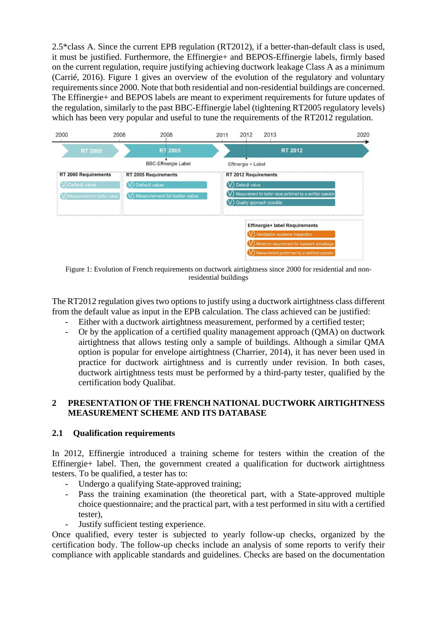2.5\*class A. Since the current EPB regulation (RT2012), if a better-than-default class is used, it must be justified. Furthermore, the Effinergie+ and BEPOS-Effinergie labels, firmly based on the current regulation, require justifying achieving ductwork leakage Class A as a minimum (Carrié, 2016). [Figure 1](#page-1-0) gives an overview of the evolution of the regulatory and voluntary requirements since 2000. Note that both residential and non-residential buildings are concerned. The Effinergie+ and BEPOS labels are meant to experiment requirements for future updates of the regulation, similarly to the past BBC-Effinergie label (tightening RT2005 regulatory levels) which has been very popular and useful to tune the requirements of the RT2012 regulation.



<span id="page-1-0"></span>Figure 1: Evolution of French requirements on ductwork airtightness since 2000 for residential and nonresidential buildings

The RT2012 regulation gives two options to justify using a ductwork airtightness class different from the default value as input in the EPB calculation. The class achieved can be justified:

- Either with a ductwork airtightness measurement, performed by a certified tester;
- Or by the application of a certified quality management approach (QMA) on ductwork airtightness that allows testing only a sample of buildings. Although a similar QMA option is popular for envelope airtightness (Charrier, 2014), it has never been used in practice for ductwork airtightness and is currently under revision. In both cases, ductwork airtightness tests must be performed by a third-party tester, qualified by the certification body Qualibat.

## **2 PRESENTATION OF THE FRENCH NATIONAL DUCTWORK AIRTIGHTNESS MEASUREMENT SCHEME AND ITS DATABASE**

## **2.1 Qualification requirements**

In 2012, Effinergie introduced a training scheme for testers within the creation of the Effinergie+ label. Then, the government created a qualification for ductwork airtightness testers. To be qualified, a tester has to:

- Undergo a qualifying State-approved training;
- Pass the training examination (the theoretical part, with a State-approved multiple choice questionnaire; and the practical part, with a test performed in situ with a certified tester),
- Justify sufficient testing experience.

Once qualified, every tester is subjected to yearly follow-up checks, organized by the certification body. The follow-up checks include an analysis of some reports to verify their compliance with applicable standards and guidelines. Checks are based on the documentation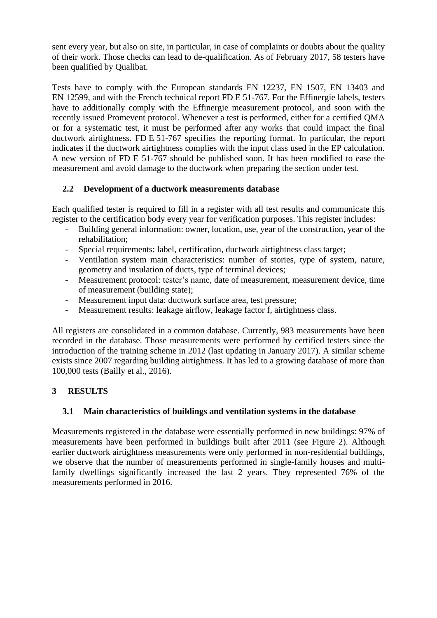sent every year, but also on site, in particular, in case of complaints or doubts about the quality of their work. Those checks can lead to de-qualification. As of February 2017, 58 testers have been qualified by Qualibat.

Tests have to comply with the European standards EN 12237, EN 1507, EN 13403 and EN 12599, and with the French technical report FD E 51-767. For the Effinergie labels, testers have to additionally comply with the Effinergie measurement protocol, and soon with the recently issued Promevent protocol. Whenever a test is performed, either for a certified QMA or for a systematic test, it must be performed after any works that could impact the final ductwork airtightness. FD E 51-767 specifies the reporting format. In particular, the report indicates if the ductwork airtightness complies with the input class used in the EP calculation. A new version of FD E 51-767 should be published soon. It has been modified to ease the measurement and avoid damage to the ductwork when preparing the section under test.

## **2.2 Development of a ductwork measurements database**

Each qualified tester is required to fill in a register with all test results and communicate this register to the certification body every year for verification purposes. This register includes:

- Building general information: owner, location, use, year of the construction, year of the rehabilitation;
- Special requirements: label, certification, ductwork airtightness class target;
- Ventilation system main characteristics: number of stories, type of system, nature, geometry and insulation of ducts, type of terminal devices;
- Measurement protocol: tester's name, date of measurement, measurement device, time of measurement (building state);
- Measurement input data: ductwork surface area, test pressure;
- Measurement results: leakage airflow, leakage factor f, airtightness class.

All registers are consolidated in a common database. Currently, 983 measurements have been recorded in the database. Those measurements were performed by certified testers since the introduction of the training scheme in 2012 (last updating in January 2017). A similar scheme exists since 2007 regarding building airtightness. It has led to a growing database of more than 100,000 tests (Bailly et al., 2016).

# **3 RESULTS**

## **3.1 Main characteristics of buildings and ventilation systems in the database**

Measurements registered in the database were essentially performed in new buildings: 97% of measurements have been performed in buildings built after 2011 (see [Figure 2\)](#page-3-0). Although earlier ductwork airtightness measurements were only performed in non-residential buildings, we observe that the number of measurements performed in single-family houses and multifamily dwellings significantly increased the last 2 years. They represented 76% of the measurements performed in 2016.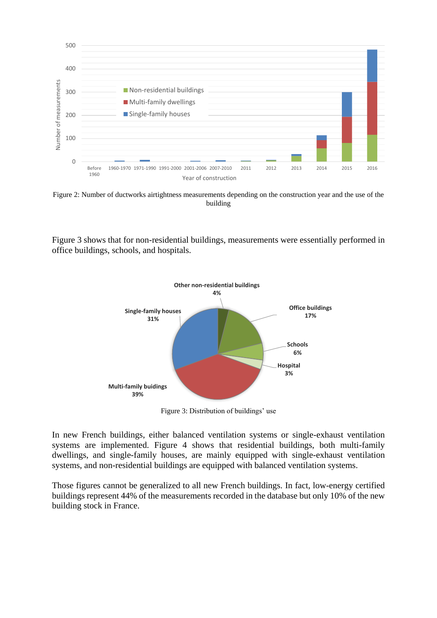

<span id="page-3-0"></span>Figure 2: Number of ductworks airtightness measurements depending on the construction year and the use of the building

[Figure 3](#page-3-1) shows that for non-residential buildings, measurements were essentially performed in office buildings, schools, and hospitals.



Figure 3: Distribution of buildings' use

<span id="page-3-1"></span>In new French buildings, either balanced ventilation systems or single-exhaust ventilation systems are implemented. [Figure 4](#page-4-0) shows that residential buildings, both multi-family dwellings, and single-family houses, are mainly equipped with single-exhaust ventilation systems, and non-residential buildings are equipped with balanced ventilation systems.

Those figures cannot be generalized to all new French buildings. In fact, low-energy certified buildings represent 44% of the measurements recorded in the database but only 10% of the new building stock in France.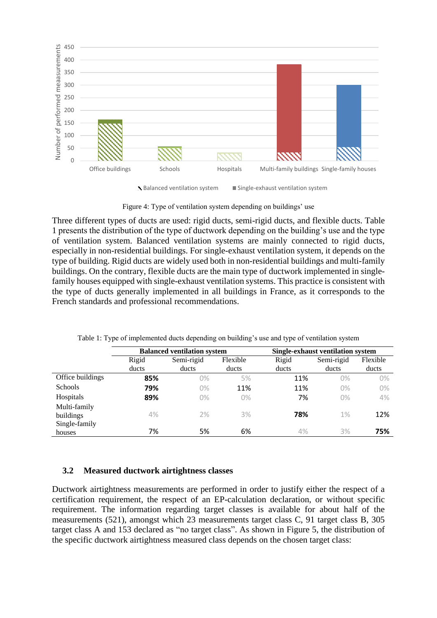

 $\blacktriangleright$  Balanced ventilation system  $\blacksquare$  Single-exhaust ventilation system

Figure 4: Type of ventilation system depending on buildings' use

<span id="page-4-0"></span>Three different types of ducts are used: rigid ducts, semi-rigid ducts, and flexible ducts. [Table](#page-4-1)  [1](#page-4-1) presents the distribution of the type of ductwork depending on the building's use and the type of ventilation system. Balanced ventilation systems are mainly connected to rigid ducts, especially in non-residential buildings. For single-exhaust ventilation system, it depends on the type of building. Rigid ducts are widely used both in non-residential buildings and multi-family buildings. On the contrary, flexible ducts are the main type of ductwork implemented in singlefamily houses equipped with single-exhaust ventilation systems. This practice is consistent with the type of ducts generally implemented in all buildings in France, as it corresponds to the French standards and professional recommendations.

<span id="page-4-1"></span>

|                  | <b>Balanced ventilation system</b> |            |          | Single-exhaust ventilation system |            |          |
|------------------|------------------------------------|------------|----------|-----------------------------------|------------|----------|
|                  | Rigid                              | Semi-rigid | Flexible | Rigid                             | Semi-rigid | Flexible |
|                  | ducts                              | ducts      | ducts    | ducts                             | ducts      | ducts    |
| Office buildings | 85%                                | $0\%$      | 5%       | 11%                               | 0%         | 0%       |
| Schools          | 79%                                | $0\%$      | 11%      | 11%                               | $0\%$      | 0%       |
| Hospitals        | 89%                                | $0\%$      | 0%       | 7%                                | $0\%$      | 4%       |
| Multi-family     |                                    |            |          |                                   |            |          |
| buildings        | 4%                                 | 2%         | 3%       | 78%                               | 1%         | 12%      |
| Single-family    |                                    |            |          |                                   |            |          |
| houses           | 7%                                 | 5%         | 6%       | 4%                                | 3%         | 75%      |

Table 1: Type of implemented ducts depending on building's use and type of ventilation system

#### **3.2 Measured ductwork airtightness classes**

Ductwork airtightness measurements are performed in order to justify either the respect of a certification requirement, the respect of an EP-calculation declaration, or without specific requirement. The information regarding target classes is available for about half of the measurements (521), amongst which 23 measurements target class C, 91 target class B, 305 target class A and 153 declared as "no target class". As shown in [Figure 5,](#page-5-0) the distribution of the specific ductwork airtightness measured class depends on the chosen target class: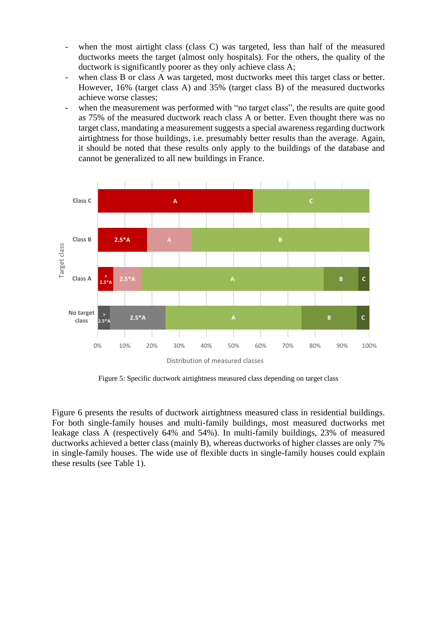- when the most airtight class (class C) was targeted, less than half of the measured ductworks meets the target (almost only hospitals). For the others, the quality of the ductwork is significantly poorer as they only achieve class A;
- when class B or class A was targeted, most ductworks meet this target class or better. However, 16% (target class A) and 35% (target class B) of the measured ductworks achieve worse classes;
- when the measurement was performed with "no target class", the results are quite good as 75% of the measured ductwork reach class A or better. Even thought there was no target class, mandating a measurement suggests a special awareness regarding ductwork airtightness for those buildings, i.e. presumably better results than the average. Again, it should be noted that these results only apply to the buildings of the database and cannot be generalized to all new buildings in France.



Figure 5: Specific ductwork airtightness measured class depending on target class

<span id="page-5-0"></span>[Figure 6](#page-6-0) presents the results of ductwork airtightness measured class in residential buildings. For both single-family houses and multi-family buildings, most measured ductworks met leakage class A (respectively 64% and 54%). In multi-family buildings, 23% of measured ductworks achieved a better class (mainly B), whereas ductworks of higher classes are only 7% in single-family houses. The wide use of flexible ducts in single-family houses could explain these results (see [Table 1\)](#page-4-1).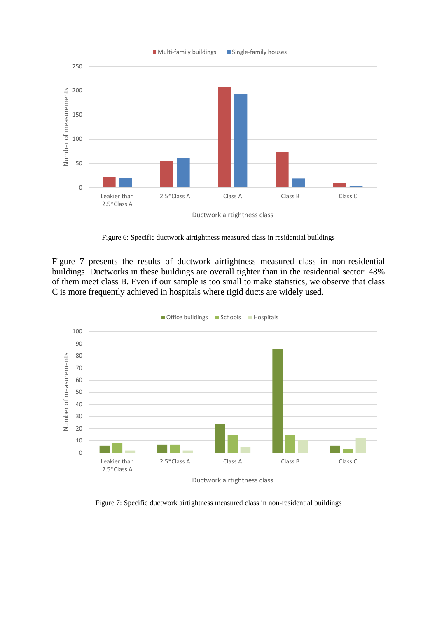

Figure 6: Specific ductwork airtightness measured class in residential buildings

<span id="page-6-0"></span>[Figure 7](#page-6-1) presents the results of ductwork airtightness measured class in non-residential buildings. Ductworks in these buildings are overall tighter than in the residential sector: 48% of them meet class B. Even if our sample is too small to make statistics, we observe that class C is more frequently achieved in hospitals where rigid ducts are widely used.



<span id="page-6-1"></span>Figure 7: Specific ductwork airtightness measured class in non-residential buildings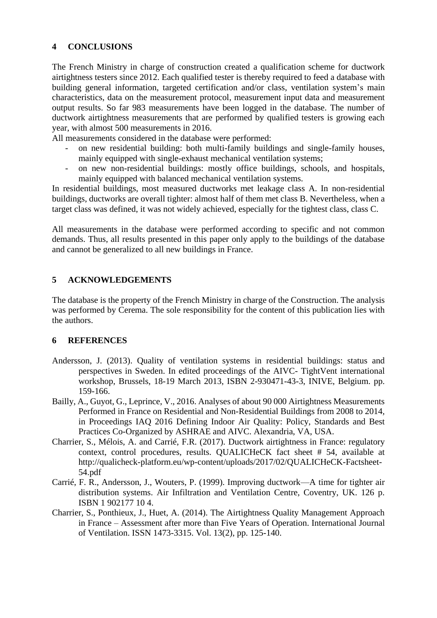## **4 CONCLUSIONS**

The French Ministry in charge of construction created a qualification scheme for ductwork airtightness testers since 2012. Each qualified tester is thereby required to feed a database with building general information, targeted certification and/or class, ventilation system's main characteristics, data on the measurement protocol, measurement input data and measurement output results. So far 983 measurements have been logged in the database. The number of ductwork airtightness measurements that are performed by qualified testers is growing each year, with almost 500 measurements in 2016.

All measurements considered in the database were performed:

- on new residential building: both multi-family buildings and single-family houses, mainly equipped with single-exhaust mechanical ventilation systems;
- on new non-residential buildings: mostly office buildings, schools, and hospitals, mainly equipped with balanced mechanical ventilation systems.

In residential buildings, most measured ductworks met leakage class A. In non-residential buildings, ductworks are overall tighter: almost half of them met class B. Nevertheless, when a target class was defined, it was not widely achieved, especially for the tightest class, class C.

All measurements in the database were performed according to specific and not common demands. Thus, all results presented in this paper only apply to the buildings of the database and cannot be generalized to all new buildings in France.

## **5 ACKNOWLEDGEMENTS**

The database is the property of the French Ministry in charge of the Construction. The analysis was performed by Cerema. The sole responsibility for the content of this publication lies with the authors.

## **6 REFERENCES**

- Andersson, J. (2013). Quality of ventilation systems in residential buildings: status and perspectives in Sweden. In edited proceedings of the AIVC- TightVent international workshop, Brussels, 18-19 March 2013, ISBN 2-930471-43-3, INIVE, Belgium. pp. 159-166.
- Bailly, A., Guyot, G., Leprince, V., 2016. Analyses of about 90 000 Airtightness Measurements Performed in France on Residential and Non-Residential Buildings from 2008 to 2014, in Proceedings IAQ 2016 Defining Indoor Air Quality: Policy, Standards and Best Practices Co-Organized by ASHRAE and AIVC. Alexandria, VA, USA.
- Charrier, S., Mélois, A. and Carrié, F.R. (2017). Ductwork airtightness in France: regulatory context, control procedures, results. QUALICHeCK fact sheet # 54, available at http://qualicheck-platform.eu/wp-content/uploads/2017/02/QUALICHeCK-Factsheet-54.pdf
- Carrié, F. R., Andersson, J., Wouters, P. (1999). Improving ductwork—A time for tighter air distribution systems. Air Infiltration and Ventilation Centre, Coventry, UK. 126 p. ISBN 1 902177 10 4.
- Charrier, S., Ponthieux, J., Huet, A. (2014). The Airtightness Quality Management Approach in France – Assessment after more than Five Years of Operation. International Journal of Ventilation. ISSN 1473-3315. Vol. 13(2), pp. 125-140.